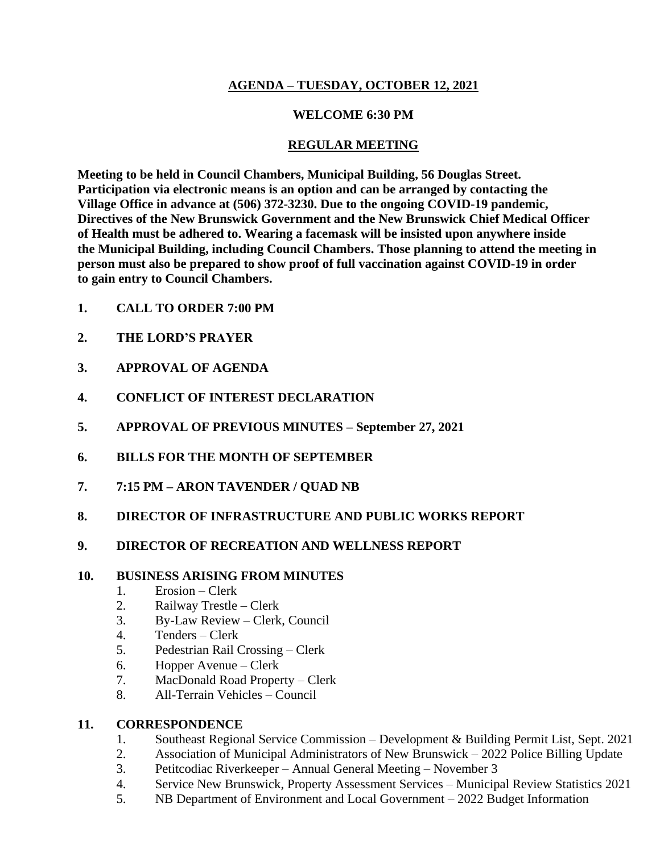## **AGENDA – TUESDAY, OCTOBER 12, 2021**

### **WELCOME 6:30 PM**

## **REGULAR MEETING**

**Meeting to be held in Council Chambers, Municipal Building, 56 Douglas Street. Participation via electronic means is an option and can be arranged by contacting the Village Office in advance at (506) 372-3230. Due to the ongoing COVID-19 pandemic, Directives of the New Brunswick Government and the New Brunswick Chief Medical Officer of Health must be adhered to. Wearing a facemask will be insisted upon anywhere inside the Municipal Building, including Council Chambers. Those planning to attend the meeting in person must also be prepared to show proof of full vaccination against COVID-19 in order to gain entry to Council Chambers.**

- **1. CALL TO ORDER 7:00 PM**
- **2. THE LORD'S PRAYER**
- **3. APPROVAL OF AGENDA**
- **4. CONFLICT OF INTEREST DECLARATION**
- **5. APPROVAL OF PREVIOUS MINUTES – September 27, 2021**
- **6. BILLS FOR THE MONTH OF SEPTEMBER**
- **7. 7:15 PM – ARON TAVENDER / QUAD NB**
- **8. DIRECTOR OF INFRASTRUCTURE AND PUBLIC WORKS REPORT**

# **9. DIRECTOR OF RECREATION AND WELLNESS REPORT**

### **10. BUSINESS ARISING FROM MINUTES**

- 1. Erosion Clerk
- 2. Railway Trestle Clerk
- 3. By-Law Review Clerk, Council
- 4. Tenders Clerk
- 5. Pedestrian Rail Crossing Clerk
- 6. Hopper Avenue Clerk
- 7. MacDonald Road Property Clerk
- 8. All-Terrain Vehicles Council

# **11. CORRESPONDENCE**

- 1. Southeast Regional Service Commission Development & Building Permit List, Sept. 2021
- 2. Association of Municipal Administrators of New Brunswick 2022 Police Billing Update
- 3. Petitcodiac Riverkeeper Annual General Meeting November 3
- 4. Service New Brunswick, Property Assessment Services Municipal Review Statistics 2021
- 5. NB Department of Environment and Local Government 2022 Budget Information